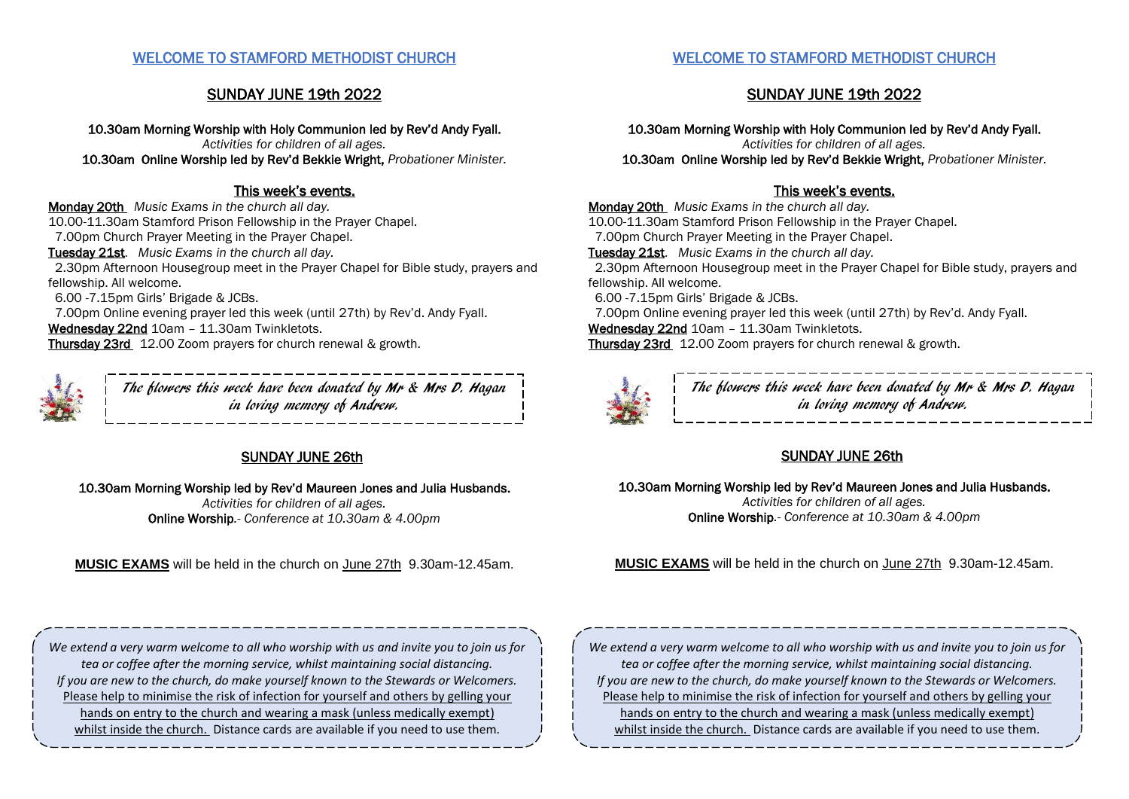## WELCOME TO STAMFORD METHODIST CHURCH

# SUNDAY JUNE 19th 2022

10.30am Morning Worship with Holy Communion led by Rev'd Andy Fyall. *Activities for children of all ages.* 10.30am Online Worship led by Rev'd Bekkie Wright, *Probationer Minister.*

## This week's events.

Monday 20th *Music Exams in the church all day.* 10.00-11.30am Stamford Prison Fellowship in the Prayer Chapel. 7.00pm Church Prayer Meeting in the Prayer Chapel. Tuesday 21st. *Music Exams in the church all day.* 2.30pm Afternoon Housegroup meet in the Prayer Chapel for Bible study, prayers and fellowship. All welcome. 6.00 -7.15pm Girls' Brigade & JCBs. 7.00pm Online evening prayer led this week (until 27th) by Rev'd. Andy Fyall. Wednesday 22nd 10am - 11.30am Twinkletots. Thursday 23rd 12.00 Zoom prayers for church renewal & growth.

> The flowers this week have been donated by Mr & Mrs D. Hagan in loving memory of Andrew.

# SUNDAY JUNE 26th

10.30am Morning Worship led by Rev'd Maureen Jones and Julia Husbands. *Activities for children of all ages.*

Online Worship*.- Conference at 10.30am & 4.00pm*

**MUSIC EXAMS** will be held in the church on June 27th 9.30am-12.45am.

*We extend a very warm welcome to all who worship with us and invite you to join us for tea or coffee after the morning service, whilst maintaining social distancing. If you are new to the church, do make yourself known to the Stewards or Welcomers.*  Please help to minimise the risk of infection for yourself and others by gelling your hands on entry to the church and wearing a mask (unless medically exempt) whilst inside the church. Distance cards are available if you need to use them.

## WELCOME TO STAMFORD METHODIST CHURCH

# SUNDAY JUNE 19th 2022

10.30am Morning Worship with Holy Communion led by Rev'd Andy Fyall. *Activities for children of all ages.* 10.30am Online Worship led by Rev'd Bekkie Wright, *Probationer Minister.*

# This week's events.

Monday 20th *Music Exams in the church all day.* 10.00-11.30am Stamford Prison Fellowship in the Prayer Chapel. 7.00pm Church Prayer Meeting in the Prayer Chapel. Tuesday 21st. *Music Exams in the church all day.* 2.30pm Afternoon Housegroup meet in the Prayer Chapel for Bible study, prayers and fellowship. All welcome. 6.00 -7.15pm Girls' Brigade & JCBs. 7.00pm Online evening prayer led this week (until 27th) by Rev'd. Andy Fyall. Wednesday 22nd 10am - 11.30am Twinkletots. Thursday 23rd 12.00 Zoom prayers for church renewal & growth.



The flowers this week have been donated by Mr & Mrs D. Hagan in loving memory of Andrew.

# SUNDAY JUNE 26th

10.30am Morning Worship led by Rev'd Maureen Jones and Julia Husbands. *Activities for children of all ages.* Online Worship*.- Conference at 10.30am & 4.00pm*

**MUSIC EXAMS** will be held in the church on June 27th 9.30am-12.45am.

*We extend a very warm welcome to all who worship with us and invite you to join us for tea or coffee after the morning service, whilst maintaining social distancing. If you are new to the church, do make yourself known to the Stewards or Welcomers.*  Please help to minimise the risk of infection for yourself and others by gelling your hands on entry to the church and wearing a mask (unless medically exempt) whilst inside the church. Distance cards are available if you need to use them.